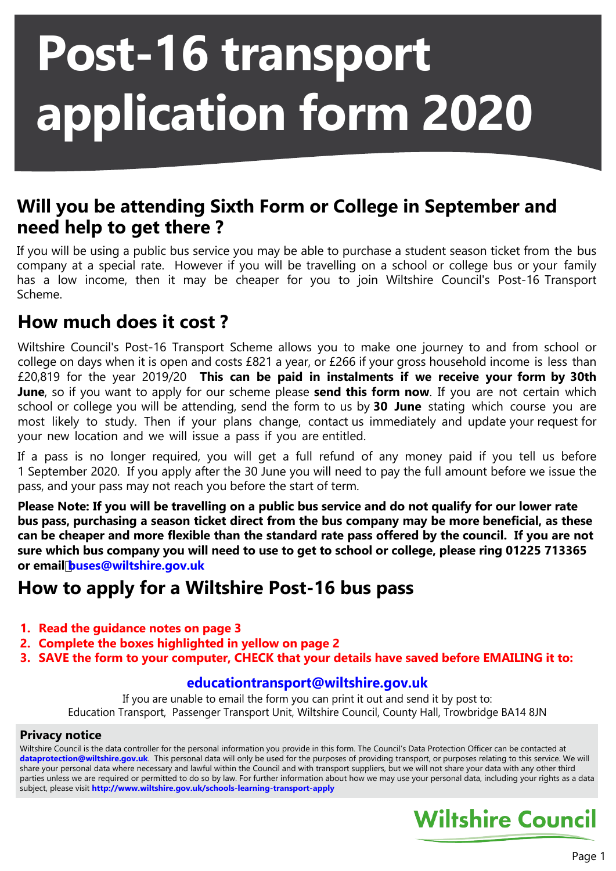# **Post-16 transport application form 2020**

## **Will you be attending Sixth Form or College in September and need help to get there ?**

If you will be using a public bus service you may be able to purchase a student season ticket from the bus company at a special rate. However if you will be travelling on a school or college bus or your family has a low income, then it may be cheaper for you to join Wiltshire Council's Post-16 Transport Scheme.

## **How much does it cost ?**

Wiltshire Council's Post-16 Transport Scheme allows you to make one journey to and from school or college on days when it is open and costs £821 a year, or £266 if your gross household income is less than £20,819 for the year 2019/20 **This can be paid in instalments if we receive your form by 30th June**, so if you want to apply for our scheme please **send this form now**. If you are not certain which school or college you will be attending, send the form to us by **30 June** stating which course you are most likely to study. Then if your plans change, contact us immediately and update your request for your new location and we will issue a pass if you are entitled.

If a pass is no longer required, you will get a full refund of any money paid if you tell us before 1 September 2020. If you apply after the 30 June you will need to pay the full amount before we issue the pass, and your pass may not reach you before the start of term.

**Please Note: If you will be travelling on a public bus service and do not qualify for our lower rate bus pass, purchasing a season ticket direct from the bus company may be more beneficial, as these can be cheaper and more flexible than the standard rate pass offered by the council. If you are not sure which bus company you will need to use to get to school or college, please ring 01225 713365 or emailbuses@wiltshire.gov.uk**

## **How to apply for a Wiltshire Post-16 bus pass**

- **1. Read the guidance notes on page 3**
- **2. Complete the boxes highlighted in yellow on page 2**
- **3. SAVE the form to your computer, CHECK that your details have saved before EMAILING it to:**

#### **educationtransport@wiltshire.gov.uk**

If you are unable to email the form you can print it out and send it by post to: Education Transport, Passenger Transport Unit, Wiltshire Council, County Hall, Trowbridge BA14 8JN

#### **Privacy notice**

Wiltshire Council is the data controller for the personal information you provide in this form. The Council's Data Protection Officer can be contacted at **dataprotection@wiltshire.gov.uk**. This personal data will only be used for the purposes of providing transport, or purposes relating to this service. We will share your personal data where necessary and lawful within the Council and with transport suppliers, but we will not share your data with any other third parties unless we are required or permitted to do so by law. For further information about how we may use your personal data, including your rights as a data subject, please visit **http://www.wiltshire.gov.uk/schools-learning-transport-apply**

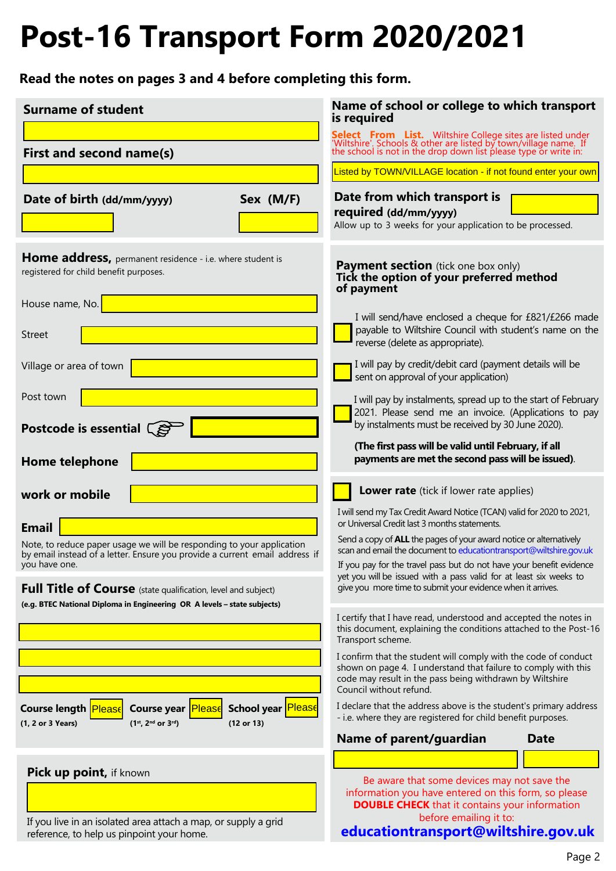# **Post-16 Transport Form 2020/2021**

**Read the notes on pages 3 and 4 before completing this form.**

| <b>Surname of student</b>                                                                                                                                  | Name of school or college to which transport<br>is required                                                                                                                                                              |
|------------------------------------------------------------------------------------------------------------------------------------------------------------|--------------------------------------------------------------------------------------------------------------------------------------------------------------------------------------------------------------------------|
| First and second name(s)                                                                                                                                   | <b>Select From List.</b> Wiltshire College sites are listed under 'Wiltshire'. Schools & other are listed by town/village name. If the school is not in the drop down list please type or write in:                      |
|                                                                                                                                                            | Listed by TOWN/VILLAGE location - if not found enter your own                                                                                                                                                            |
| Sex (M/F)<br>Date of birth (dd/mm/yyyy)                                                                                                                    | Date from which transport is<br>required (dd/mm/yyyy)<br>Allow up to 3 weeks for your application to be processed.                                                                                                       |
| Home address, permanent residence - i.e. where student is<br>registered for child benefit purposes.                                                        | <b>Payment section</b> (tick one box only)<br>Tick the option of your preferred method<br>of payment                                                                                                                     |
| House name, No.<br>Street                                                                                                                                  | I will send/have enclosed a cheque for £821/£266 made<br>payable to Wiltshire Council with student's name on the<br>reverse (delete as appropriate).                                                                     |
| Village or area of town                                                                                                                                    | I will pay by credit/debit card (payment details will be<br>sent on approval of your application)                                                                                                                        |
| Post town<br>Postcode is essential $\left(\right)$                                                                                                         | I will pay by instalments, spread up to the start of February<br>2021. Please send me an invoice. (Applications to pay<br>by instalments must be received by 30 June 2020).                                              |
| Home telephone                                                                                                                                             | (The first pass will be valid until February, if all<br>payments are met the second pass will be issued).                                                                                                                |
| work or mobile                                                                                                                                             | Lower rate (tick if lower rate applies)                                                                                                                                                                                  |
| <b>Email</b>                                                                                                                                               | I will send my Tax Credit Award Notice (TCAN) valid for 2020 to 2021,<br>or Universal Credit last 3 months statements.                                                                                                   |
| Note, to reduce paper usage we will be responding to your application<br>by email instead of a letter. Ensure you provide a current email address if       | Send a copy of ALL the pages of your award notice or alternatively<br>scan and email the document to educationtransport@wiltshire.gov.uk                                                                                 |
| you have one.<br>Full Title of Course (state qualification, level and subject)                                                                             | If you pay for the travel pass but do not have your benefit evidence<br>yet you will be issued with a pass valid for at least six weeks to<br>give you more time to submit your evidence when it arrives.                |
| (e.g. BTEC National Diploma in Engineering OR A levels - state subjects)                                                                                   | I certify that I have read, understood and accepted the notes in<br>this document, explaining the conditions attached to the Post-16<br>Transport scheme.                                                                |
|                                                                                                                                                            | I confirm that the student will comply with the code of conduct<br>shown on page 4. I understand that failure to comply with this<br>code may result in the pass being withdrawn by Wiltshire<br>Council without refund. |
| <b>School year Please</b><br>Course year <b>Please</b><br><b>Course length Please</b><br>$(1^{st}, 2^{nd}$ or $3^{rd})$<br>(1, 2 or 3 Years)<br>(12 or 13) | I declare that the address above is the student's primary address<br>- i.e. where they are registered for child benefit purposes.                                                                                        |
|                                                                                                                                                            | Name of parent/guardian<br>Date                                                                                                                                                                                          |
| Pick up point, if known                                                                                                                                    | Be aware that some devices may not save the<br>information you have entered on this form, so please<br><b>DOUBLE CHECK</b> that it contains your information<br>before emailing it to:                                   |
| If you live in an isolated area attach a map, or supply a grid<br>reference, to help us pinpoint your home.                                                | educationtransport@wiltshire.gov.uk                                                                                                                                                                                      |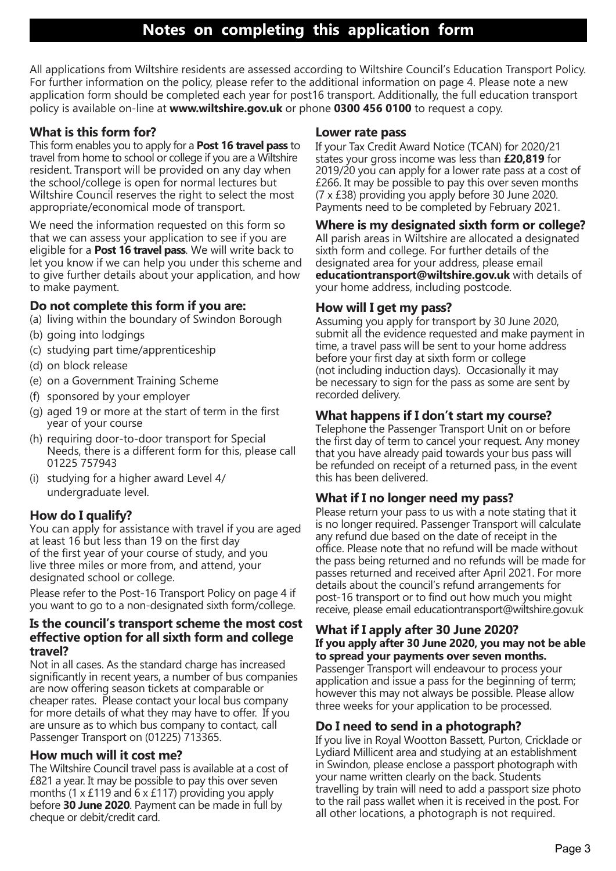All applications from Wiltshire residents are assessed according to Wiltshire Council's Education Transport Policy. For further information on the policy, please refer to the additional information on page 4. Please note a new application form should be completed each year for post16 transport. Additionally, the full education transport policy is available on-line at **www.wiltshire.gov.uk** or phone **0300 456 0100** to request a copy.

#### **What is this form for?**

This form enables you to apply for a **Post 16 travel pass** to travel from home to school or college if you are a Wiltshire resident. Transport will be provided on any day when the school/college is open for normal lectures but Wiltshire Council reserves the right to select the most appropriate/economical mode of transport.

We need the information requested on this form so that we can assess your application to see if you are eligible for a **Post 16 travel pass**. We will write back to let you know if we can help you under this scheme and to give further details about your application, and how to make payment.

#### **Do not complete this form if you are:**

(a) living within the boundary of Swindon Borough

- (b) going into lodgings
- (c) studying part time/apprenticeship
- (d) on block release
- (e) on a Government Training Scheme
- (f) sponsored by your employer
- (g) aged 19 or more at the start of term in the first year of your course
- (h) requiring door-to-door transport for Special Needs, there is a different form for this, please call 01225 757943
- (i) studying for a higher award Level 4/ undergraduate level.

#### **How do I qualify?**

You can apply for assistance with travel if you are aged at least 16 but less than 19 on the first day of the first year of your course of study, and you live three miles or more from, and attend, your designated school or college.

Please refer to the Post-16 Transport Policy on page 4 if you want to go to a non-designated sixth form/college.

#### **Is the council's transport scheme the most cost effective option for all sixth form and college travel?**

Not in all cases. As the standard charge has increased significantly in recent years, a number of bus companies are now offering season tickets at comparable or cheaper rates. Please contact your local bus company for more details of what they may have to offer. If you are unsure as to which bus company to contact, call Passenger Transport on (01225) 713365.

#### **How much will it cost me?**

The Wiltshire Council travel pass is available at a cost of £821 a year. It may be possible to pay this over seven months (1 x £119 and 6 x £117) providing you apply before **30 June 2020**. Payment can be made in full by cheque or debit/credit card.

#### **Lower rate pass**

If your Tax Credit Award Notice (TCAN) for 2020/21 states your gross income was less than **£20,819** for 2019/20 you can apply for a lower rate pass at a cost of £266. It may be possible to pay this over seven months (7 x £38) providing you apply before 30 June 2020. Payments need to be completed by February 2021.

#### **Where is my designated sixth form or college?**

All parish areas in Wiltshire are allocated a designated sixth form and college. For further details of the designated area for your address, please email **educationtransport@wiltshire.gov.uk** with details of your home address, including postcode.

#### **How will I get my pass?**

Assuming you apply for transport by 30 June 2020, submit all the evidence requested and make payment in time, a travel pass will be sent to your home address before your first day at sixth form or college (not including induction days). Occasionally it may be necessary to sign for the pass as some are sent by recorded delivery.

#### **What happens if I don't start my course?**

Telephone the Passenger Transport Unit on or before the first day of term to cancel your request. Any money that you have already paid towards your bus pass will be refunded on receipt of a returned pass, in the event this has been delivered.

#### **What if I no longer need my pass?**

Please return your pass to us with a note stating that it is no longer required. Passenger Transport will calculate any refund due based on the date of receipt in the office. Please note that no refund will be made without the pass being returned and no refunds will be made for passes returned and received after April 2021. For more details about the council's refund arrangements for post-16 transport or to find out how much you might receive, please email educationtransport@wiltshire.gov.uk

#### **What if I apply after 30 June 2020? If you apply after 30 June 2020, you may not be able to spread your payments over seven months.**

Passenger Transport will endeavour to process your application and issue a pass for the beginning of term; however this may not always be possible. Please allow three weeks for your application to be processed.

#### **Do I need to send in a photograph?**

If you live in Royal Wootton Bassett, Purton, Cricklade or Lydiard Millicent area and studying at an establishment in Swindon, please enclose a passport photograph with your name written clearly on the back. Students travelling by train will need to add a passport size photo to the rail pass wallet when it is received in the post. For all other locations, a photograph is not required.